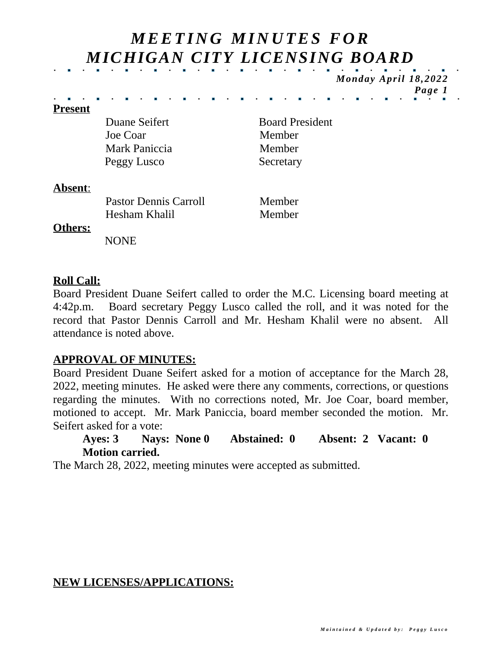# *M EETI N G M I N U TES F O R MICHIGAN CITY LICENSING BOARD*

*Monday April 18,2022 Page 1*

#### **Present**

Duane Seifert Board President Joe Coar Member Mark Paniccia Member Peggy Lusco Secretary

#### **Absent**:

Pastor Dennis Carroll Member Hesham Khalil Member

#### **Others:**

NONE

## **Roll Call:**

Board President Duane Seifert called to order the M.C. Licensing board meeting at 4:42p.m. Board secretary Peggy Lusco called the roll, and it was noted for the record that Pastor Dennis Carroll and Mr. Hesham Khalil were no absent. All attendance is noted above.

## **APPROVAL OF MINUTES:**

Board President Duane Seifert asked for a motion of acceptance for the March 28, 2022, meeting minutes. He asked were there any comments, corrections, or questions regarding the minutes. With no corrections noted, Mr. Joe Coar, board member, motioned to accept. Mr. Mark Paniccia, board member seconded the motion. Mr. Seifert asked for a vote:

## **Ayes: 3 Nays: None 0 Abstained: 0 Absent: 2 Vacant: 0 Motion carried.**

The March 28, 2022, meeting minutes were accepted as submitted.

## **NEW LICENSES/APPLICATIONS:**